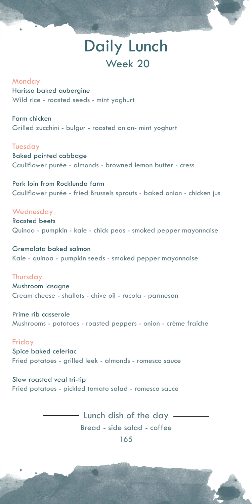## Daily Lunch Week 20

### Monday

Harissa baked aubergine Wild rice - roasted seeds - mint yoghurt

Farm chicken Grilled zucchini - bulgur - roasted onion- mint yoghurt

### Tuesday

Baked pointed cabbage Cauliflower purée - almonds - browned lemon butter - cress

Pork loin from Rocklunda farm Cauliflower purée - fried Brussels sprouts - baked onion - chicken jus

### **Wednesday**

Roasted beets Quinoa - pumpkin - kale - chick peas - smoked pepper mayonnaise

Gremolata baked salmon Kale - quinoa - pumpkin seeds - smoked pepper mayonnaise

### Thursday

Mushroom lasagne Cream cheese - shallots - chive oil - rucola - parmesan

Prime rib casserole Mushrooms - potatoes - roasted peppers - onion - crème fraiche

### Friday

Spice baked celeriac Fried potatoes - grilled leek - almonds - romesco sauce

Slow roasted veal tri-tip Fried potatoes - pickled tomato salad - romesco sauce

> - Lunch dish of the day -Bread - side salad - coffee 165